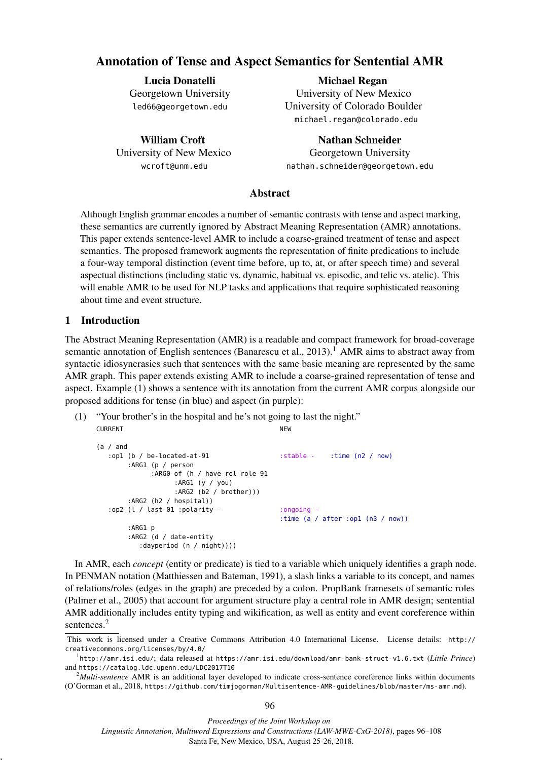# Annotation of Tense and Aspect Semantics for Sentential AMR

Lucia Donatelli Georgetown University led66@georgetown.edu

William Croft University of New Mexico wcroft@unm.edu

Michael Regan University of New Mexico University of Colorado Boulder michael.regan@colorado.edu

Nathan Schneider Georgetown University nathan.schneider@georgetown.edu

# Abstract

Although English grammar encodes a number of semantic contrasts with tense and aspect marking, these semantics are currently ignored by Abstract Meaning Representation (AMR) annotations. This paper extends sentence-level AMR to include a coarse-grained treatment of tense and aspect semantics. The proposed framework augments the representation of finite predications to include a four-way temporal distinction (event time before, up to, at, or after speech time) and several aspectual distinctions (including static vs. dynamic, habitual vs. episodic, and telic vs. atelic). This will enable AMR to be used for NLP tasks and applications that require sophisticated reasoning about time and event structure.

# 1 Introduction

,

The Abstract Meaning Representation (AMR) is a readable and compact framework for broad-coverage semantic annotation of English sentences (Banarescu et al., 2013).<sup>1</sup> AMR aims to abstract away from syntactic idiosyncrasies such that sentences with the same basic meaning are represented by the same AMR graph. This paper extends existing AMR to include a coarse-grained representation of tense and aspect. Example (1) shows a sentence with its annotation from the current AMR corpus alongside our proposed additions for tense (in blue) and aspect (in purple):

(1) "Your brother's in the hospital and he's not going to last the night." CURRENT NEW WARRANT NEW WARRANT WAS ARRESTED FOR A STRUCK AND A VEHICLE ASSAULT.

```
(a / and
:op1 (b / be-located-at-91 :stable - :time (n2 / now)
     :ARG1 (p / person
          :ARG0-of (h / have-rel-role-91
                :ARG1 (y / you)
                :ARG2 (b2 / brother)))
     :ARG2 (h2 / hospital))
:op2 (l / last-01 :polarity - : :ongoing -
                                         :time (a / after :op1 (n3 / now))
     :ARG1 p
     :ARG2 (d / date-entity
        :dayperiod (n / night))))
```
In AMR, each *concept* (entity or predicate) is tied to a variable which uniquely identifies a graph node. In PENMAN notation (Matthiessen and Bateman, 1991), a slash links a variable to its concept, and names of relations/roles (edges in the graph) are preceded by a colon. PropBank framesets of semantic roles (Palmer et al., 2005) that account for argument structure play a central role in AMR design; sentential AMR additionally includes entity typing and wikification, as well as entity and event coreference within sentences.<sup>2</sup>

This work is licensed under a Creative Commons Attribution 4.0 International License. License details: http:// creativecommons.org/licenses/by/4.0/

<sup>1</sup> http://amr.isi.edu/; data released at https://amr.isi.edu/download/amr-bank-struct-v1.6.txt (*Little Prince*) and https://catalog.ldc.upenn.edu/LDC2017T10

<sup>2</sup>*Multi-sentence* AMR is an additional layer developed to indicate cross-sentence coreference links within documents (O'Gorman et al., 2018, https://github.com/timjogorman/Multisentence-AMR-guidelines/blob/master/ms-amr.md).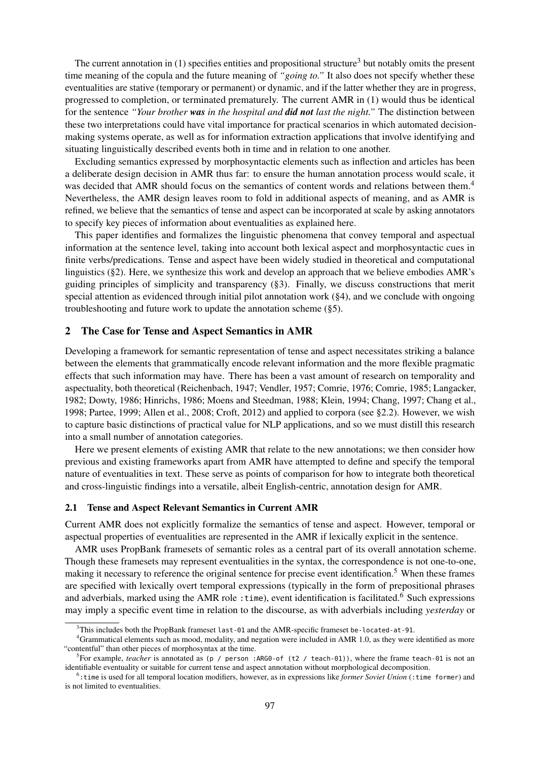The current annotation in (1) specifies entities and propositional structure<sup>3</sup> but notably omits the present time meaning of the copula and the future meaning of *"going to."* It also does not specify whether these eventualities are stative (temporary or permanent) or dynamic, and if the latter whether they are in progress, progressed to completion, or terminated prematurely. The current AMR in (1) would thus be identical for the sentence *"Your brother was in the hospital and did not last the night."* The distinction between these two interpretations could have vital importance for practical scenarios in which automated decisionmaking systems operate, as well as for information extraction applications that involve identifying and situating linguistically described events both in time and in relation to one another.

Excluding semantics expressed by morphosyntactic elements such as inflection and articles has been a deliberate design decision in AMR thus far: to ensure the human annotation process would scale, it was decided that AMR should focus on the semantics of content words and relations between them.<sup>4</sup> Nevertheless, the AMR design leaves room to fold in additional aspects of meaning, and as AMR is refined, we believe that the semantics of tense and aspect can be incorporated at scale by asking annotators to specify key pieces of information about eventualities as explained here.

This paper identifies and formalizes the linguistic phenomena that convey temporal and aspectual information at the sentence level, taking into account both lexical aspect and morphosyntactic cues in finite verbs/predications. Tense and aspect have been widely studied in theoretical and computational linguistics (§2). Here, we synthesize this work and develop an approach that we believe embodies AMR's guiding principles of simplicity and transparency (§3). Finally, we discuss constructions that merit special attention as evidenced through initial pilot annotation work (§4), and we conclude with ongoing troubleshooting and future work to update the annotation scheme (§5).

# 2 The Case for Tense and Aspect Semantics in AMR

Developing a framework for semantic representation of tense and aspect necessitates striking a balance between the elements that grammatically encode relevant information and the more flexible pragmatic effects that such information may have. There has been a vast amount of research on temporality and aspectuality, both theoretical (Reichenbach, 1947; Vendler, 1957; Comrie, 1976; Comrie, 1985; Langacker, 1982; Dowty, 1986; Hinrichs, 1986; Moens and Steedman, 1988; Klein, 1994; Chang, 1997; Chang et al., 1998; Partee, 1999; Allen et al., 2008; Croft, 2012) and applied to corpora (see §2.2). However, we wish to capture basic distinctions of practical value for NLP applications, and so we must distill this research into a small number of annotation categories.

Here we present elements of existing AMR that relate to the new annotations; we then consider how previous and existing frameworks apart from AMR have attempted to define and specify the temporal nature of eventualities in text. These serve as points of comparison for how to integrate both theoretical and cross-linguistic findings into a versatile, albeit English-centric, annotation design for AMR.

#### 2.1 Tense and Aspect Relevant Semantics in Current AMR

Current AMR does not explicitly formalize the semantics of tense and aspect. However, temporal or aspectual properties of eventualities are represented in the AMR if lexically explicit in the sentence.

AMR uses PropBank framesets of semantic roles as a central part of its overall annotation scheme. Though these framesets may represent eventualities in the syntax, the correspondence is not one-to-one, making it necessary to reference the original sentence for precise event identification.<sup>5</sup> When these frames are specified with lexically overt temporal expressions (typically in the form of prepositional phrases and adverbials, marked using the AMR role : time), event identification is facilitated.<sup>6</sup> Such expressions may imply a specific event time in relation to the discourse, as with adverbials including *yesterday* or

 $3$ This includes both the PropBank frameset last-01 and the AMR-specific frameset be-located-at-91.

<sup>&</sup>lt;sup>4</sup>Grammatical elements such as mood, modality, and negation were included in AMR 1.0, as they were identified as more "contentful" than other pieces of morphosyntax at the time.

<sup>5</sup> For example, *teacher* is annotated as (p / person :ARG0-of (t2 / teach-01)), where the frame teach-01 is not an identifiable eventuality or suitable for current tense and aspect annotation without morphological decomposition.

<sup>6</sup> :time is used for all temporal location modifiers, however, as in expressions like *former Soviet Union* (:time former) and is not limited to eventualities.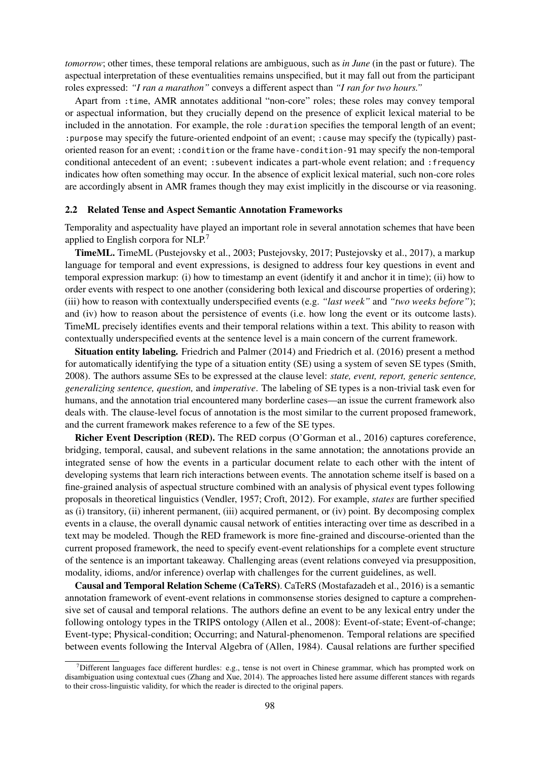*tomorrow*; other times, these temporal relations are ambiguous, such as *in June* (in the past or future). The aspectual interpretation of these eventualities remains unspecified, but it may fall out from the participant roles expressed: *"I ran a marathon"* conveys a different aspect than *"I ran for two hours."*

Apart from :time, AMR annotates additional "non-core" roles; these roles may convey temporal or aspectual information, but they crucially depend on the presence of explicit lexical material to be included in the annotation. For example, the role : duration specifies the temporal length of an event; :purpose may specify the future-oriented endpoint of an event; :cause may specify the (typically) pastoriented reason for an event; :condition or the frame have-condition-91 may specify the non-temporal conditional antecedent of an event; :subevent indicates a part-whole event relation; and :frequency indicates how often something may occur. In the absence of explicit lexical material, such non-core roles are accordingly absent in AMR frames though they may exist implicitly in the discourse or via reasoning.

#### 2.2 Related Tense and Aspect Semantic Annotation Frameworks

Temporality and aspectuality have played an important role in several annotation schemes that have been applied to English corpora for NLP.<sup>7</sup>

TimeML. TimeML (Pustejovsky et al., 2003; Pustejovsky, 2017; Pustejovsky et al., 2017), a markup language for temporal and event expressions, is designed to address four key questions in event and temporal expression markup: (i) how to timestamp an event (identify it and anchor it in time); (ii) how to order events with respect to one another (considering both lexical and discourse properties of ordering); (iii) how to reason with contextually underspecified events (e.g. *"last week"* and *"two weeks before"*); and (iv) how to reason about the persistence of events (i.e. how long the event or its outcome lasts). TimeML precisely identifies events and their temporal relations within a text. This ability to reason with contextually underspecified events at the sentence level is a main concern of the current framework.

Situation entity labeling. Friedrich and Palmer (2014) and Friedrich et al. (2016) present a method for automatically identifying the type of a situation entity (SE) using a system of seven SE types (Smith, 2008). The authors assume SEs to be expressed at the clause level: *state, event, report, generic sentence, generalizing sentence, question,* and *imperative*. The labeling of SE types is a non-trivial task even for humans, and the annotation trial encountered many borderline cases—an issue the current framework also deals with. The clause-level focus of annotation is the most similar to the current proposed framework, and the current framework makes reference to a few of the SE types.

Richer Event Description (RED). The RED corpus (O'Gorman et al., 2016) captures coreference, bridging, temporal, causal, and subevent relations in the same annotation; the annotations provide an integrated sense of how the events in a particular document relate to each other with the intent of developing systems that learn rich interactions between events. The annotation scheme itself is based on a fine-grained analysis of aspectual structure combined with an analysis of physical event types following proposals in theoretical linguistics (Vendler, 1957; Croft, 2012). For example, *states* are further specified as (i) transitory, (ii) inherent permanent, (iii) acquired permanent, or (iv) point. By decomposing complex events in a clause, the overall dynamic causal network of entities interacting over time as described in a text may be modeled. Though the RED framework is more fine-grained and discourse-oriented than the current proposed framework, the need to specify event-event relationships for a complete event structure of the sentence is an important takeaway. Challenging areas (event relations conveyed via presupposition, modality, idioms, and/or inference) overlap with challenges for the current guidelines, as well.

Causal and Temporal Relation Scheme (CaTeRS). CaTeRS (Mostafazadeh et al., 2016) is a semantic annotation framework of event-event relations in commonsense stories designed to capture a comprehensive set of causal and temporal relations. The authors define an event to be any lexical entry under the following ontology types in the TRIPS ontology (Allen et al., 2008): Event-of-state; Event-of-change; Event-type; Physical-condition; Occurring; and Natural-phenomenon. Temporal relations are specified between events following the Interval Algebra of (Allen, 1984). Causal relations are further specified

<sup>&</sup>lt;sup>7</sup>Different languages face different hurdles: e.g., tense is not overt in Chinese grammar, which has prompted work on disambiguation using contextual cues (Zhang and Xue, 2014). The approaches listed here assume different stances with regards to their cross-linguistic validity, for which the reader is directed to the original papers.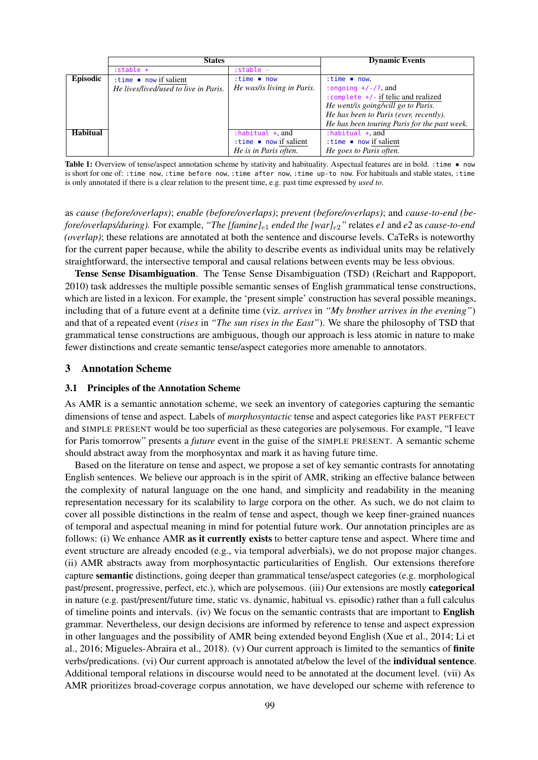|                 | <b>States</b>                         |                                      | <b>Dynamic Events</b>                        |
|-----------------|---------------------------------------|--------------------------------------|----------------------------------------------|
|                 | $: stable +$                          | $: stable -$                         |                                              |
| Episodic        | : time $\blacksquare$ now if salient  | $:time \t mow$                       | $:time \t mow,$                              |
|                 | He lives/lived/used to live in Paris. | He was/is living in Paris.           | :ongoing $+/-/?$ , and                       |
|                 |                                       |                                      | : complete $+/$ if telic and realized        |
|                 |                                       |                                      | He went/is going/will go to Paris.           |
|                 |                                       |                                      | He has been to Paris (ever, recently).       |
|                 |                                       |                                      | He has been touring Paris for the past week. |
| <b>Habitual</b> |                                       | $:$ habitual $+$ and                 | : habitual $+$ , and                         |
|                 |                                       | : time $\blacksquare$ now if salient | $:time \mod 1$ now if salient                |
|                 |                                       | He is in Paris often.                | He goes to Paris often.                      |

Table 1: Overview of tense/aspect annotation scheme by stativity and habituality. Aspectual features are in bold. : time  $\blacksquare$  now is short for one of: :time now, :time before now, :time after now, :time up-to now. For habituals and stable states, :time is only annotated if there is a clear relation to the present time, e.g. past time expressed by *used to*.

as *cause (before/overlaps)*; *enable (before/overlaps)*; *prevent (before/overlaps)*; and *cause-to-end (before/overlaps/during).* For example, *"The [famine]*e<sup>1</sup> *ended the [war]*e2*"* relates *e1* and *e2* as *cause-to-end (overlap)*; these relations are annotated at both the sentence and discourse levels. CaTeRs is noteworthy for the current paper because, while the ability to describe events as individual units may be relatively straightforward, the intersective temporal and causal relations between events may be less obvious.

Tense Sense Disambiguation. The Tense Sense Disambiguation (TSD) (Reichart and Rappoport, 2010) task addresses the multiple possible semantic senses of English grammatical tense constructions, which are listed in a lexicon. For example, the 'present simple' construction has several possible meanings, including that of a future event at a definite time (viz. *arrives* in *"My brother arrives in the evening"*) and that of a repeated event (*rises* in *"The sun rises in the East"*). We share the philosophy of TSD that grammatical tense constructions are ambiguous, though our approach is less atomic in nature to make fewer distinctions and create semantic tense/aspect categories more amenable to annotators.

### 3 Annotation Scheme

### 3.1 Principles of the Annotation Scheme

As AMR is a semantic annotation scheme, we seek an inventory of categories capturing the semantic dimensions of tense and aspect. Labels of *morphosyntactic* tense and aspect categories like PAST PERFECT and SIMPLE PRESENT would be too superficial as these categories are polysemous. For example, "I leave for Paris tomorrow" presents a *future* event in the guise of the SIMPLE PRESENT. A semantic scheme should abstract away from the morphosyntax and mark it as having future time.

Based on the literature on tense and aspect, we propose a set of key semantic contrasts for annotating English sentences. We believe our approach is in the spirit of AMR, striking an effective balance between the complexity of natural language on the one hand, and simplicity and readability in the meaning representation necessary for its scalability to large corpora on the other. As such, we do not claim to cover all possible distinctions in the realm of tense and aspect, though we keep finer-grained nuances of temporal and aspectual meaning in mind for potential future work. Our annotation principles are as follows: (i) We enhance AMR as it currently exists to better capture tense and aspect. Where time and event structure are already encoded (e.g., via temporal adverbials), we do not propose major changes. (ii) AMR abstracts away from morphosyntactic particularities of English. Our extensions therefore capture semantic distinctions, going deeper than grammatical tense/aspect categories (e.g. morphological past/present, progressive, perfect, etc.), which are polysemous. (iii) Our extensions are mostly categorical in nature (e.g. past/present/future time, static vs. dynamic, habitual vs. episodic) rather than a full calculus of timeline points and intervals. (iv) We focus on the semantic contrasts that are important to English grammar. Nevertheless, our design decisions are informed by reference to tense and aspect expression in other languages and the possibility of AMR being extended beyond English (Xue et al., 2014; Li et al., 2016; Migueles-Abraira et al., 2018). (v) Our current approach is limited to the semantics of finite verbs/predications. (vi) Our current approach is annotated at/below the level of the individual sentence. Additional temporal relations in discourse would need to be annotated at the document level. (vii) As AMR prioritizes broad-coverage corpus annotation, we have developed our scheme with reference to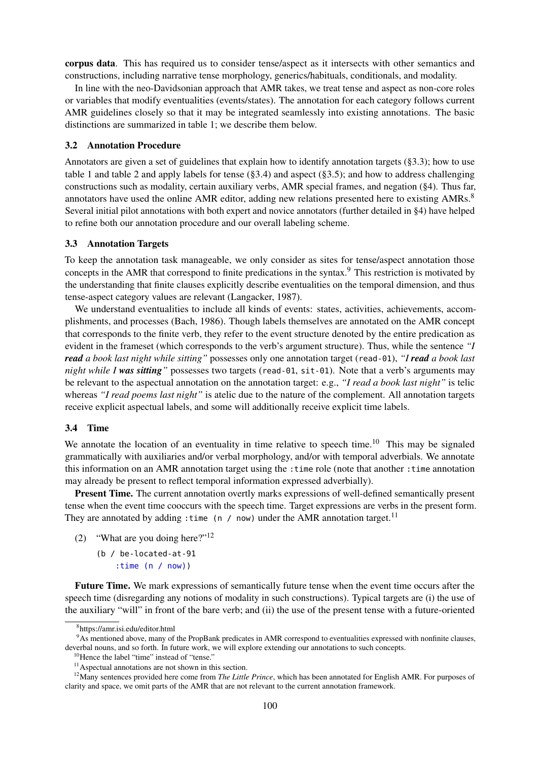corpus data. This has required us to consider tense/aspect as it intersects with other semantics and constructions, including narrative tense morphology, generics/habituals, conditionals, and modality.

In line with the neo-Davidsonian approach that AMR takes, we treat tense and aspect as non-core roles or variables that modify eventualities (events/states). The annotation for each category follows current AMR guidelines closely so that it may be integrated seamlessly into existing annotations. The basic distinctions are summarized in table 1; we describe them below.

### 3.2 Annotation Procedure

Annotators are given a set of guidelines that explain how to identify annotation targets (§3.3); how to use table 1 and table 2 and apply labels for tense  $(\S3.4)$  and aspect  $(\S3.5)$ ; and how to address challenging constructions such as modality, certain auxiliary verbs, AMR special frames, and negation (§4). Thus far, annotators have used the online AMR editor, adding new relations presented here to existing AMRs.<sup>8</sup> Several initial pilot annotations with both expert and novice annotators (further detailed in §4) have helped to refine both our annotation procedure and our overall labeling scheme.

### 3.3 Annotation Targets

To keep the annotation task manageable, we only consider as sites for tense/aspect annotation those concepts in the AMR that correspond to finite predications in the syntax.<sup>9</sup> This restriction is motivated by the understanding that finite clauses explicitly describe eventualities on the temporal dimension, and thus tense-aspect category values are relevant (Langacker, 1987).

We understand eventualities to include all kinds of events: states, activities, achievements, accomplishments, and processes (Bach, 1986). Though labels themselves are annotated on the AMR concept that corresponds to the finite verb, they refer to the event structure denoted by the entire predication as evident in the frameset (which corresponds to the verb's argument structure). Thus, while the sentence *"I read a book last night while sitting"* possesses only one annotation target (read-01), *"I read a book last night while I was sitting"* possesses two targets (read-01, sit-01). Note that a verb's arguments may be relevant to the aspectual annotation on the annotation target: e.g., *"I read a book last night"* is telic whereas *"I read poems last night"* is atelic due to the nature of the complement. All annotation targets receive explicit aspectual labels, and some will additionally receive explicit time labels.

#### 3.4 Time

We annotate the location of an eventuality in time relative to speech time.<sup>10</sup> This may be signaled grammatically with auxiliaries and/or verbal morphology, and/or with temporal adverbials. We annotate this information on an AMR annotation target using the :time role (note that another :time annotation may already be present to reflect temporal information expressed adverbially).

Present Time. The current annotation overtly marks expressions of well-defined semantically present tense when the event time cooccurs with the speech time. Target expressions are verbs in the present form. They are annotated by adding : time (n / now) under the AMR annotation target.<sup>11</sup>

- (2) "What are you doing here?"<sup>12</sup>
	- (b / be-located-at-91 :time (n / now))

Future Time. We mark expressions of semantically future tense when the event time occurs after the speech time (disregarding any notions of modality in such constructions). Typical targets are (i) the use of the auxiliary "will" in front of the bare verb; and (ii) the use of the present tense with a future-oriented

<sup>8</sup> https://amr.isi.edu/editor.html

<sup>9</sup>As mentioned above, many of the PropBank predicates in AMR correspond to eventualities expressed with nonfinite clauses, deverbal nouns, and so forth. In future work, we will explore extending our annotations to such concepts.

<sup>&</sup>lt;sup>10</sup>Hence the label "time" instead of "tense."

<sup>&</sup>lt;sup>11</sup>Aspectual annotations are not shown in this section.

<sup>12</sup>Many sentences provided here come from *The Little Prince*, which has been annotated for English AMR. For purposes of clarity and space, we omit parts of the AMR that are not relevant to the current annotation framework.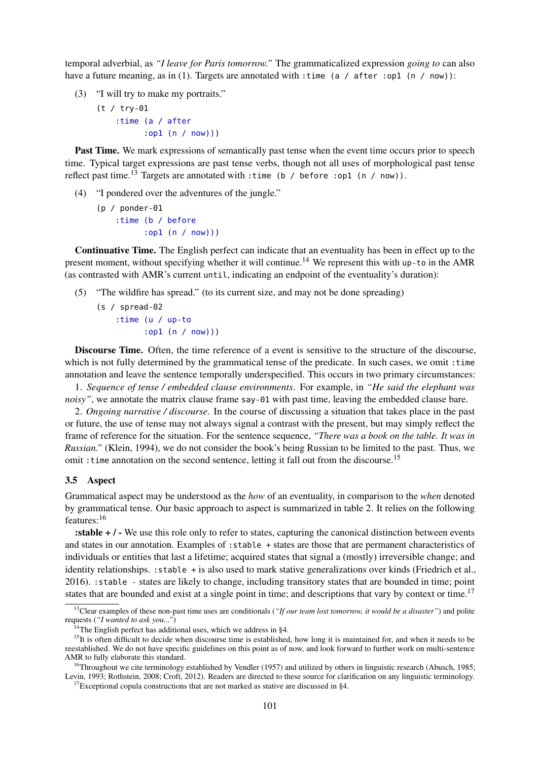temporal adverbial, as *"I leave for Paris tomorrow."* The grammaticalized expression *going to* can also have a future meaning, as in (1). Targets are annotated with : time (a / after : op1 (n / now)):

- (3) "I will try to make my portraits."
	- (t / try-01 :time (a / after :op1 (n / now)))

Past Time. We mark expressions of semantically past tense when the event time occurs prior to speech time. Typical target expressions are past tense verbs, though not all uses of morphological past tense reflect past time.<sup>13</sup> Targets are annotated with :time (b / before :op1 (n / now)).

- (4) "I pondered over the adventures of the jungle."
	- (p / ponder-01 :time (b / before :op1 (n / now)))

Continuative Time. The English perfect can indicate that an eventuality has been in effect up to the present moment, without specifying whether it will continue.<sup>14</sup> We represent this with up-to in the AMR (as contrasted with AMR's current until, indicating an endpoint of the eventuality's duration):

- (5) "The wildfire has spread." (to its current size, and may not be done spreading)
	- (s / spread-02 :time (u / up-to :op1 (n / now)))

Discourse Time. Often, the time reference of a event is sensitive to the structure of the discourse. which is not fully determined by the grammatical tense of the predicate. In such cases, we omit : time annotation and leave the sentence temporally underspecified. This occurs in two primary circumstances:

1. *Sequence of tense / embedded clause environments*. For example, in *"He said the elephant was noisy"*, we annotate the matrix clause frame say-01 with past time, leaving the embedded clause bare.

2. *Ongoing narrative / discourse*. In the course of discussing a situation that takes place in the past or future, the use of tense may not always signal a contrast with the present, but may simply reflect the frame of reference for the situation. For the sentence sequence, *"There was a book on the table. It was in Russian."* (Klein, 1994), we do not consider the book's being Russian to be limited to the past. Thus, we omit : time annotation on the second sentence, letting it fall out from the discourse.<sup>15</sup>

### 3.5 Aspect

Grammatical aspect may be understood as the *how* of an eventuality, in comparison to the *when* denoted by grammatical tense. Our basic approach to aspect is summarized in table 2. It relies on the following features:<sup>16</sup>

:stable + / - We use this role only to refer to states, capturing the canonical distinction between events and states in our annotation. Examples of : stable + states are those that are permanent characteristics of individuals or entities that last a lifetime; acquired states that signal a (mostly) irreversible change; and identity relationships. :stable + is also used to mark stative generalizations over kinds (Friedrich et al., 2016). :stable - states are likely to change, including transitory states that are bounded in time; point states that are bounded and exist at a single point in time; and descriptions that vary by context or time.<sup>17</sup>

<sup>&</sup>lt;sup>13</sup>Clear examples of these non-past time uses are conditionals (*"If our team lost tomorrow, it would be a disaster"*) and polite requests (*"I wanted to ask you..."*)

 $14$ The English perfect has additional uses, which we address in §4.

 $15$ It is often difficult to decide when discourse time is established, how long it is maintained for, and when it needs to be reestablished. We do not have specific guidelines on this point as of now, and look forward to further work on multi-sentence AMR to fully elaborate this standard.

<sup>&</sup>lt;sup>16</sup>Throughout we cite terminology established by Vendler (1957) and utilized by others in linguistic research (Abusch, 1985; Levin, 1993; Rothstein, 2008; Croft, 2012). Readers are directed to these source for clarification on any linguistic terminology.

 $17$ Exceptional copula constructions that are not marked as stative are discussed in §4.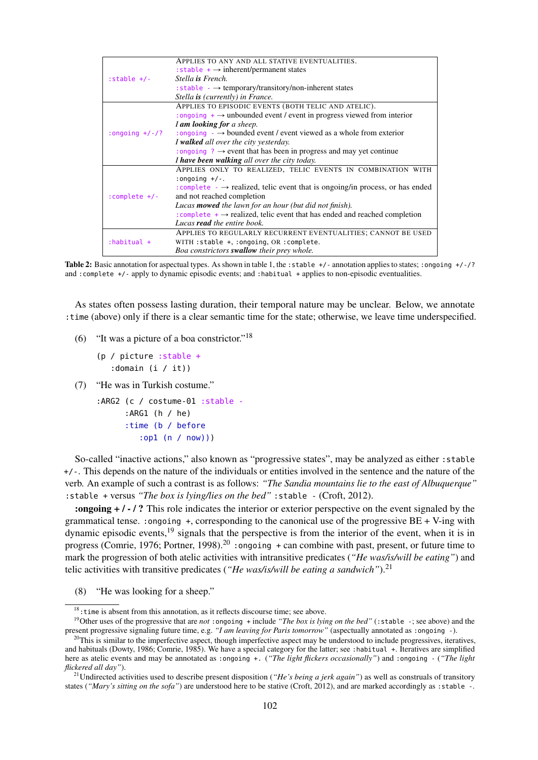|                  | APPLIES TO ANY AND ALL STATIVE EVENTUALITIES.                                             |
|------------------|-------------------------------------------------------------------------------------------|
|                  | : stable $+$ $\rightarrow$ inherent/permanent states                                      |
| : $stable$ +/-   | Stella is French.                                                                         |
|                  | : stable $\rightarrow$ temporary/transitory/non-inherent states                           |
|                  | Stella is (currently) in France.                                                          |
|                  | APPLIES TO EPISODIC EVENTS (BOTH TELIC AND ATELIC).                                       |
|                  | : ongoing $+$ $\rightarrow$ unbounded event / event in progress viewed from interior      |
|                  | I am looking for a sheep.                                                                 |
| :ongoing $+/-/?$ | : ongoing $\rightarrow \rightarrow$ bounded event / event viewed as a whole from exterior |
|                  | I walked all over the city yesterday.                                                     |
|                  | : ongoing ? $\rightarrow$ event that has been in progress and may yet continue            |
|                  | I have been walking all over the city today.                                              |
|                  | APPLIES ONLY TO REALIZED, TELIC EVENTS IN COMBINATION WITH                                |
|                  | : $ongoing +/-$ .                                                                         |
|                  | : complete $\rightarrow$ realized, telic event that is ongoing/in process, or has ended   |
| : complete $+/-$ | and not reached completion                                                                |
|                  | Lucas <b>mowed</b> the lawn for an hour (but did not finish).                             |
|                  | : complete $+ \rightarrow$ realized, telic event that has ended and reached completion    |
|                  | Lucas <b>read</b> the entire book.                                                        |
|                  | APPLIES TO REGULARLY RECURRENT EVENTUALITIES; CANNOT BE USED                              |
| $:$ habitual +   | WITH: stable +, : ongoing, OR : complete.                                                 |
|                  | Boa constrictors <b>swallow</b> their prey whole.                                         |

Table 2: Basic annotation for aspectual types. As shown in table 1, the : stable +/- annotation applies to states; : ongoing +/-/? and :complete +/- apply to dynamic episodic events; and :habitual + applies to non-episodic eventualities.

As states often possess lasting duration, their temporal nature may be unclear. Below, we annotate :time (above) only if there is a clear semantic time for the state; otherwise, we leave time underspecified.

- (6) "It was a picture of a boa constrictor."<sup>18</sup>
	- (p / picture :stable + :domain (i / it))
- (7) "He was in Turkish costume."

:ARG2 (c / costume-01 :stable - :ARG1 (h / he) :time (b / before :op1 (n / now)))

So-called "inactive actions," also known as "progressive states", may be analyzed as either : stable +/-. This depends on the nature of the individuals or entities involved in the sentence and the nature of the verb. An example of such a contrast is as follows: *"The Sandia mountains lie to the east of Albuquerque"* :stable + versus *"The box is lying/lies on the bed"* :stable - (Croft, 2012).

:ongoing + / - / ? This role indicates the interior or exterior perspective on the event signaled by the grammatical tense. :ongoing +, corresponding to the canonical use of the progressive BE + V-ing with dynamic episodic events,<sup>19</sup> signals that the perspective is from the interior of the event, when it is in progress (Comrie, 1976; Portner, 1998).<sup>20</sup> : ongoing  $+$  can combine with past, present, or future time to mark the progression of both atelic activities with intransitive predicates (*"He was/is/will be eating"*) and telic activities with transitive predicates (*"He was/is/will be eating a sandwich"*).<sup>21</sup>

(8) "He was looking for a sheep."

<sup>&</sup>lt;sup>18</sup>: time is absent from this annotation, as it reflects discourse time; see above.

<sup>19</sup>Other uses of the progressive that are *not* :ongoing + include *"The box is lying on the bed"* (:stable -; see above) and the present progressive signaling future time, e.g. *"I am leaving for Paris tomorrow"* (aspectually annotated as :ongoing -).

 $^{20}$ This is similar to the imperfective aspect, though imperfective aspect may be understood to include progressives, iteratives, and habituals (Dowty, 1986; Comrie, 1985). We have a special category for the latter; see :habitual +. Iteratives are simplified here as atelic events and may be annotated as :ongoing +. (*"The light flickers occasionally"*) and :ongoing - (*"The light flickered all day"*).

<sup>&</sup>lt;sup>21</sup>Undirected activities used to describe present disposition (*"He's being a jerk again"*) as well as construals of transitory states (*"Mary's sitting on the sofa"*) are understood here to be stative (Croft, 2012), and are marked accordingly as :stable -.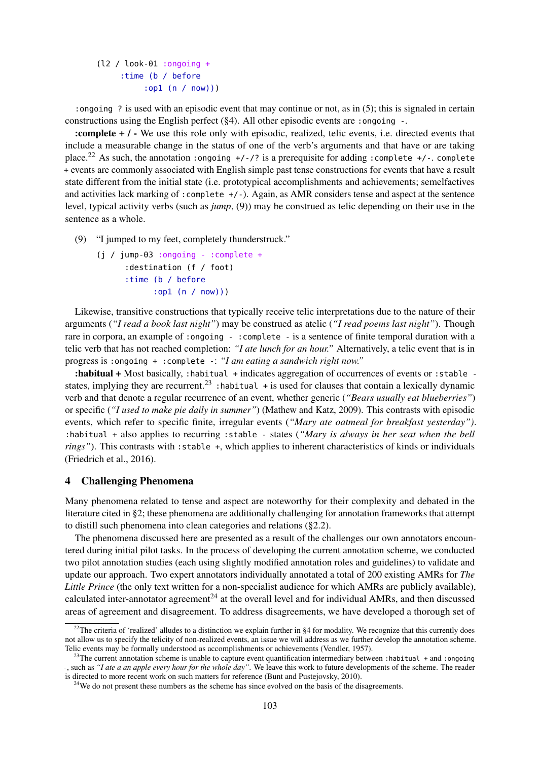(l2 / look-01 :ongoing + :time (b / before :op1 (n / now)))

:ongoing ? is used with an episodic event that may continue or not, as in (5); this is signaled in certain constructions using the English perfect  $(\frac{6}{4})$ . All other episodic events are :ongoing -.

:complete + / - We use this role only with episodic, realized, telic events, i.e. directed events that include a measurable change in the status of one of the verb's arguments and that have or are taking place.<sup>22</sup> As such, the annotation : ongoing  $+/$ -/? is a prerequisite for adding : complete  $+/-$ . complete + events are commonly associated with English simple past tense constructions for events that have a result state different from the initial state (i.e. prototypical accomplishments and achievements; semelfactives and activities lack marking of :complete +/-). Again, as AMR considers tense and aspect at the sentence level, typical activity verbs (such as *jump*, (9)) may be construed as telic depending on their use in the sentence as a whole.

(9) "I jumped to my feet, completely thunderstruck."

```
(j / jump-03 :ongoing - :complete +
    :destination (f / foot)
    :time (b / before
          :op1 (n / now)))
```
Likewise, transitive constructions that typically receive telic interpretations due to the nature of their arguments (*"I read a book last night"*) may be construed as atelic (*"I read poems last night"*). Though rare in corpora, an example of :ongoing - :complete - is a sentence of finite temporal duration with a telic verb that has not reached completion: *"I ate lunch for an hour."* Alternatively, a telic event that is in progress is :ongoing + :complete -: *"I am eating a sandwich right now."*

:habitual + Most basically, :habitual + indicates aggregation of occurrences of events or :stable states, implying they are recurrent.<sup>23</sup>: habitual + is used for clauses that contain a lexically dynamic verb and that denote a regular recurrence of an event, whether generic (*"Bears usually eat blueberries"*) or specific (*"I used to make pie daily in summer"*) (Mathew and Katz, 2009). This contrasts with episodic events, which refer to specific finite, irregular events (*"Mary ate oatmeal for breakfast yesterday")*. :habitual + also applies to recurring :stable - states (*"Mary is always in her seat when the bell rings"*). This contrasts with : stable +, which applies to inherent characteristics of kinds or individuals (Friedrich et al., 2016).

# 4 Challenging Phenomena

Many phenomena related to tense and aspect are noteworthy for their complexity and debated in the literature cited in §2; these phenomena are additionally challenging for annotation frameworks that attempt to distill such phenomena into clean categories and relations (§2.2).

The phenomena discussed here are presented as a result of the challenges our own annotators encountered during initial pilot tasks. In the process of developing the current annotation scheme, we conducted two pilot annotation studies (each using slightly modified annotation roles and guidelines) to validate and update our approach. Two expert annotators individually annotated a total of 200 existing AMRs for *The Little Prince* (the only text written for a non-specialist audience for which AMRs are publicly available), calculated inter-annotator agreement<sup>24</sup> at the overall level and for individual AMRs, and then discussed areas of agreement and disagreement. To address disagreements, we have developed a thorough set of

<sup>&</sup>lt;sup>22</sup>The criteria of 'realized' alludes to a distinction we explain further in §4 for modality. We recognize that this currently does not allow us to specify the telicity of non-realized events, an issue we will address as we further develop the annotation scheme. Telic events may be formally understood as accomplishments or achievements (Vendler, 1957).

<sup>&</sup>lt;sup>23</sup>The current annotation scheme is unable to capture event quantification intermediary between :habitual + and :ongoing -, such as *"I ate a an apple every hour for the whole day"*. We leave this work to future developments of the scheme. The reader is directed to more recent work on such matters for reference (Bunt and Pustejovsky, 2010).

 $24$ We do not present these numbers as the scheme has since evolved on the basis of the disagreements.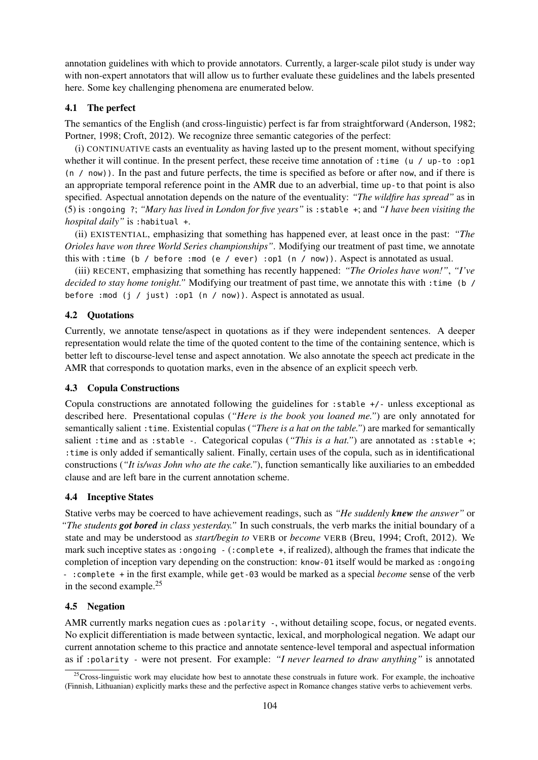annotation guidelines with which to provide annotators. Currently, a larger-scale pilot study is under way with non-expert annotators that will allow us to further evaluate these guidelines and the labels presented here. Some key challenging phenomena are enumerated below.

# 4.1 The perfect

The semantics of the English (and cross-linguistic) perfect is far from straightforward (Anderson, 1982; Portner, 1998; Croft, 2012). We recognize three semantic categories of the perfect:

(i) CONTINUATIVE casts an eventuality as having lasted up to the present moment, without specifying whether it will continue. In the present perfect, these receive time annotation of :time (u / up-to :op1 (n / now)). In the past and future perfects, the time is specified as before or after now, and if there is an appropriate temporal reference point in the AMR due to an adverbial, time up-to that point is also specified. Aspectual annotation depends on the nature of the eventuality: *"The wildfire has spread"* as in (5) is :ongoing ?; *"Mary has lived in London for five years"* is :stable +; and *"I have been visiting the hospital daily"* is :habitual +.

(ii) EXISTENTIAL, emphasizing that something has happened ever, at least once in the past: *"The Orioles have won three World Series championships"*. Modifying our treatment of past time, we annotate this with :time (b / before :mod (e / ever) :op1 (n / now)). Aspect is annotated as usual.

(iii) RECENT, emphasizing that something has recently happened: *"The Orioles have won!"*, *"I've decided to stay home tonight."* Modifying our treatment of past time, we annotate this with :time (b / before :mod (j / just) :op1 (n / now)). Aspect is annotated as usual.

# 4.2 Quotations

Currently, we annotate tense/aspect in quotations as if they were independent sentences. A deeper representation would relate the time of the quoted content to the time of the containing sentence, which is better left to discourse-level tense and aspect annotation. We also annotate the speech act predicate in the AMR that corresponds to quotation marks, even in the absence of an explicit speech verb.

### 4.3 Copula Constructions

Copula constructions are annotated following the guidelines for :stable +/- unless exceptional as described here. Presentational copulas (*"Here is the book you loaned me."*) are only annotated for semantically salient :time. Existential copulas (*"There is a hat on the table."*) are marked for semantically salient :time and as :stable -. Categorical copulas (*"This is a hat."*) are annotated as :stable +; :time is only added if semantically salient. Finally, certain uses of the copula, such as in identificational constructions (*"It is/was John who ate the cake."*), function semantically like auxiliaries to an embedded clause and are left bare in the current annotation scheme.

# 4.4 Inceptive States

Stative verbs may be coerced to have achievement readings, such as *"He suddenly knew the answer"* or *"The students got bored in class yesterday."* In such construals, the verb marks the initial boundary of a state and may be understood as *start/begin to* VERB or *become* VERB (Breu, 1994; Croft, 2012). We mark such inceptive states as :ongoing - (:complete +, if realized), although the frames that indicate the completion of inception vary depending on the construction: know-01 itself would be marked as :ongoing - :complete + in the first example, while get-03 would be marked as a special *become* sense of the verb in the second example. $25$ 

# 4.5 Negation

AMR currently marks negation cues as : polarity -, without detailing scope, focus, or negated events. No explicit differentiation is made between syntactic, lexical, and morphological negation. We adapt our current annotation scheme to this practice and annotate sentence-level temporal and aspectual information as if :polarity - were not present. For example: *"I never learned to draw anything"* is annotated

<sup>&</sup>lt;sup>25</sup>Cross-linguistic work may elucidate how best to annotate these construals in future work. For example, the inchoative (Finnish, Lithuanian) explicitly marks these and the perfective aspect in Romance changes stative verbs to achievement verbs.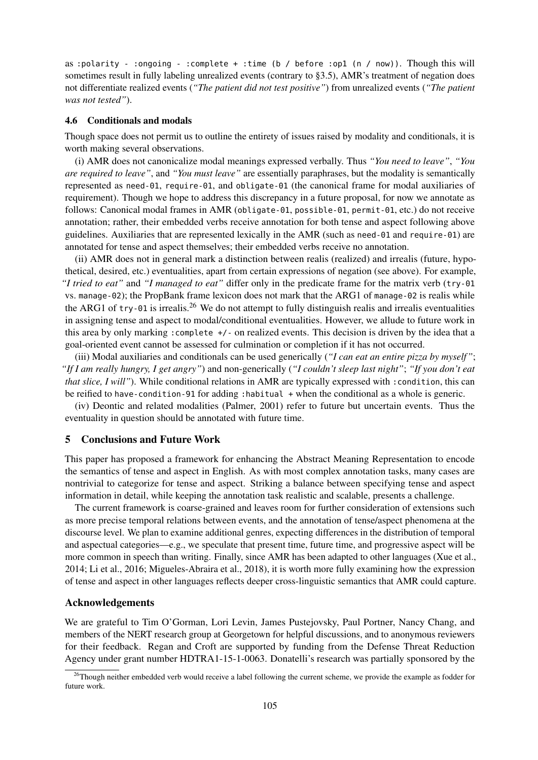as :polarity - :ongoing - :complete + :time (b / before :op1 (n / now)). Though this will sometimes result in fully labeling unrealized events (contrary to §3.5), AMR's treatment of negation does not differentiate realized events (*"The patient did not test positive"*) from unrealized events (*"The patient was not tested"*).

#### 4.6 Conditionals and modals

Though space does not permit us to outline the entirety of issues raised by modality and conditionals, it is worth making several observations.

(i) AMR does not canonicalize modal meanings expressed verbally. Thus *"You need to leave"*, *"You are required to leave"*, and *"You must leave"* are essentially paraphrases, but the modality is semantically represented as need-01, require-01, and obligate-01 (the canonical frame for modal auxiliaries of requirement). Though we hope to address this discrepancy in a future proposal, for now we annotate as follows: Canonical modal frames in AMR (obligate-01, possible-01, permit-01, etc.) do not receive annotation; rather, their embedded verbs receive annotation for both tense and aspect following above guidelines. Auxiliaries that are represented lexically in the AMR (such as need-01 and require-01) are annotated for tense and aspect themselves; their embedded verbs receive no annotation.

(ii) AMR does not in general mark a distinction between realis (realized) and irrealis (future, hypothetical, desired, etc.) eventualities, apart from certain expressions of negation (see above). For example, *"I tried to eat"* and *"I managed to eat"* differ only in the predicate frame for the matrix verb (try-01 vs. manage-02); the PropBank frame lexicon does not mark that the ARG1 of manage-02 is realis while the ARG1 of try-01 is irrealis.<sup>26</sup> We do not attempt to fully distinguish realis and irrealis eventualities in assigning tense and aspect to modal/conditional eventualities. However, we allude to future work in this area by only marking :complete +/- on realized events. This decision is driven by the idea that a goal-oriented event cannot be assessed for culmination or completion if it has not occurred.

(iii) Modal auxiliaries and conditionals can be used generically (*"I can eat an entire pizza by myself"*; *"If I am really hungry, I get angry"*) and non-generically (*"I couldn't sleep last night"*; *"If you don't eat that slice, I will"*). While conditional relations in AMR are typically expressed with : condition, this can be reified to have-condition-91 for adding :habitual + when the conditional as a whole is generic.

(iv) Deontic and related modalities (Palmer, 2001) refer to future but uncertain events. Thus the eventuality in question should be annotated with future time.

#### 5 Conclusions and Future Work

This paper has proposed a framework for enhancing the Abstract Meaning Representation to encode the semantics of tense and aspect in English. As with most complex annotation tasks, many cases are nontrivial to categorize for tense and aspect. Striking a balance between specifying tense and aspect information in detail, while keeping the annotation task realistic and scalable, presents a challenge.

The current framework is coarse-grained and leaves room for further consideration of extensions such as more precise temporal relations between events, and the annotation of tense/aspect phenomena at the discourse level. We plan to examine additional genres, expecting differences in the distribution of temporal and aspectual categories—e.g., we speculate that present time, future time, and progressive aspect will be more common in speech than writing. Finally, since AMR has been adapted to other languages (Xue et al., 2014; Li et al., 2016; Migueles-Abraira et al., 2018), it is worth more fully examining how the expression of tense and aspect in other languages reflects deeper cross-linguistic semantics that AMR could capture.

### Acknowledgements

We are grateful to Tim O'Gorman, Lori Levin, James Pustejovsky, Paul Portner, Nancy Chang, and members of the NERT research group at Georgetown for helpful discussions, and to anonymous reviewers for their feedback. Regan and Croft are supported by funding from the Defense Threat Reduction Agency under grant number HDTRA1-15-1-0063. Donatelli's research was partially sponsored by the

 $26$ Though neither embedded verb would receive a label following the current scheme, we provide the example as fodder for future work.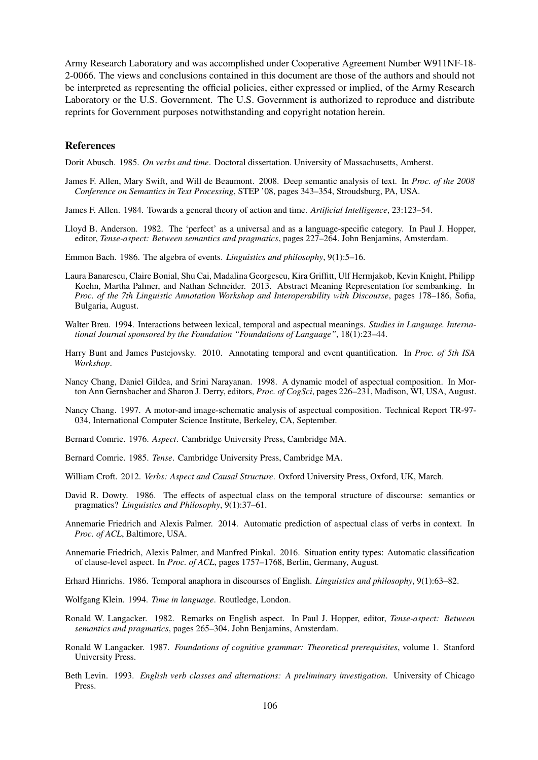Army Research Laboratory and was accomplished under Cooperative Agreement Number W911NF-18- 2-0066. The views and conclusions contained in this document are those of the authors and should not be interpreted as representing the official policies, either expressed or implied, of the Army Research Laboratory or the U.S. Government. The U.S. Government is authorized to reproduce and distribute reprints for Government purposes notwithstanding and copyright notation herein.

#### References

Dorit Abusch. 1985. *On verbs and time*. Doctoral dissertation. University of Massachusetts, Amherst.

- James F. Allen, Mary Swift, and Will de Beaumont. 2008. Deep semantic analysis of text. In *Proc. of the 2008 Conference on Semantics in Text Processing*, STEP '08, pages 343–354, Stroudsburg, PA, USA.
- James F. Allen. 1984. Towards a general theory of action and time. *Artificial Intelligence*, 23:123–54.
- Lloyd B. Anderson. 1982. The 'perfect' as a universal and as a language-specific category. In Paul J. Hopper, editor, *Tense-aspect: Between semantics and pragmatics*, pages 227–264. John Benjamins, Amsterdam.
- Emmon Bach. 1986. The algebra of events. *Linguistics and philosophy*, 9(1):5–16.
- Laura Banarescu, Claire Bonial, Shu Cai, Madalina Georgescu, Kira Griffitt, Ulf Hermjakob, Kevin Knight, Philipp Koehn, Martha Palmer, and Nathan Schneider. 2013. Abstract Meaning Representation for sembanking. In *Proc. of the 7th Linguistic Annotation Workshop and Interoperability with Discourse*, pages 178–186, Sofia, Bulgaria, August.
- Walter Breu. 1994. Interactions between lexical, temporal and aspectual meanings. *Studies in Language. International Journal sponsored by the Foundation "Foundations of Language"*, 18(1):23–44.
- Harry Bunt and James Pustejovsky. 2010. Annotating temporal and event quantification. In *Proc. of 5th ISA Workshop*.
- Nancy Chang, Daniel Gildea, and Srini Narayanan. 1998. A dynamic model of aspectual composition. In Morton Ann Gernsbacher and Sharon J. Derry, editors, *Proc. of CogSci*, pages 226–231, Madison, WI, USA, August.
- Nancy Chang. 1997. A motor-and image-schematic analysis of aspectual composition. Technical Report TR-97- 034, International Computer Science Institute, Berkeley, CA, September.
- Bernard Comrie. 1976. *Aspect*. Cambridge University Press, Cambridge MA.
- Bernard Comrie. 1985. *Tense*. Cambridge University Press, Cambridge MA.
- William Croft. 2012. *Verbs: Aspect and Causal Structure*. Oxford University Press, Oxford, UK, March.
- David R. Dowty. 1986. The effects of aspectual class on the temporal structure of discourse: semantics or pragmatics? *Linguistics and Philosophy*, 9(1):37–61.
- Annemarie Friedrich and Alexis Palmer. 2014. Automatic prediction of aspectual class of verbs in context. In *Proc. of ACL*, Baltimore, USA.
- Annemarie Friedrich, Alexis Palmer, and Manfred Pinkal. 2016. Situation entity types: Automatic classification of clause-level aspect. In *Proc. of ACL*, pages 1757–1768, Berlin, Germany, August.
- Erhard Hinrichs. 1986. Temporal anaphora in discourses of English. *Linguistics and philosophy*, 9(1):63–82.
- Wolfgang Klein. 1994. *Time in language*. Routledge, London.
- Ronald W. Langacker. 1982. Remarks on English aspect. In Paul J. Hopper, editor, *Tense-aspect: Between semantics and pragmatics*, pages 265–304. John Benjamins, Amsterdam.
- Ronald W Langacker. 1987. *Foundations of cognitive grammar: Theoretical prerequisites*, volume 1. Stanford University Press.
- Beth Levin. 1993. *English verb classes and alternations: A preliminary investigation*. University of Chicago Press.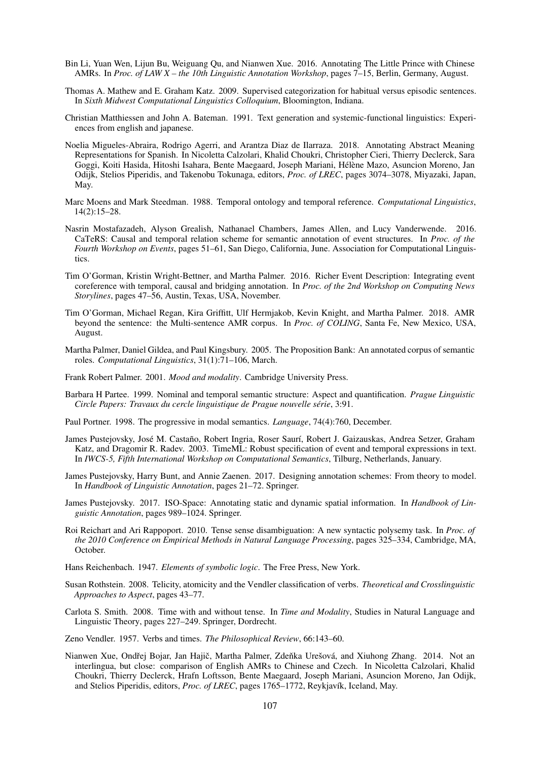- Bin Li, Yuan Wen, Lijun Bu, Weiguang Qu, and Nianwen Xue. 2016. Annotating The Little Prince with Chinese AMRs. In *Proc. of LAW X – the 10th Linguistic Annotation Workshop*, pages 7–15, Berlin, Germany, August.
- Thomas A. Mathew and E. Graham Katz. 2009. Supervised categorization for habitual versus episodic sentences. In *Sixth Midwest Computational Linguistics Colloquium*, Bloomington, Indiana.
- Christian Matthiessen and John A. Bateman. 1991. Text generation and systemic-functional linguistics: Experiences from english and japanese.
- Noelia Migueles-Abraira, Rodrigo Agerri, and Arantza Diaz de Ilarraza. 2018. Annotating Abstract Meaning Representations for Spanish. In Nicoletta Calzolari, Khalid Choukri, Christopher Cieri, Thierry Declerck, Sara Goggi, Koiti Hasida, Hitoshi Isahara, Bente Maegaard, Joseph Mariani, Hélène Mazo, Asuncion Moreno, Jan Odijk, Stelios Piperidis, and Takenobu Tokunaga, editors, *Proc. of LREC*, pages 3074–3078, Miyazaki, Japan, May.
- Marc Moens and Mark Steedman. 1988. Temporal ontology and temporal reference. *Computational Linguistics*, 14(2):15–28.
- Nasrin Mostafazadeh, Alyson Grealish, Nathanael Chambers, James Allen, and Lucy Vanderwende. 2016. CaTeRS: Causal and temporal relation scheme for semantic annotation of event structures. In *Proc. of the Fourth Workshop on Events*, pages 51–61, San Diego, California, June. Association for Computational Linguistics.
- Tim O'Gorman, Kristin Wright-Bettner, and Martha Palmer. 2016. Richer Event Description: Integrating event coreference with temporal, causal and bridging annotation. In *Proc. of the 2nd Workshop on Computing News Storylines*, pages 47–56, Austin, Texas, USA, November.
- Tim O'Gorman, Michael Regan, Kira Griffitt, Ulf Hermjakob, Kevin Knight, and Martha Palmer. 2018. AMR beyond the sentence: the Multi-sentence AMR corpus. In *Proc. of COLING*, Santa Fe, New Mexico, USA, August.
- Martha Palmer, Daniel Gildea, and Paul Kingsbury. 2005. The Proposition Bank: An annotated corpus of semantic roles. *Computational Linguistics*, 31(1):71–106, March.
- Frank Robert Palmer. 2001. *Mood and modality*. Cambridge University Press.
- Barbara H Partee. 1999. Nominal and temporal semantic structure: Aspect and quantification. *Prague Linguistic Circle Papers: Travaux du cercle linguistique de Prague nouvelle série*, 3:91.
- Paul Portner. 1998. The progressive in modal semantics. *Language*, 74(4):760, December.
- James Pustejovsky, José M. Castaño, Robert Ingria, Roser Saurí, Robert J. Gaizauskas, Andrea Setzer, Graham Katz, and Dragomir R. Radev. 2003. TimeML: Robust specification of event and temporal expressions in text. In *IWCS-5, Fifth International Workshop on Computational Semantics*, Tilburg, Netherlands, January.
- James Pustejovsky, Harry Bunt, and Annie Zaenen. 2017. Designing annotation schemes: From theory to model. In *Handbook of Linguistic Annotation*, pages 21–72. Springer.
- James Pustejovsky. 2017. ISO-Space: Annotating static and dynamic spatial information. In *Handbook of Linguistic Annotation*, pages 989–1024. Springer.
- Roi Reichart and Ari Rappoport. 2010. Tense sense disambiguation: A new syntactic polysemy task. In *Proc. of the 2010 Conference on Empirical Methods in Natural Language Processing*, pages 325–334, Cambridge, MA, October.
- Hans Reichenbach. 1947. *Elements of symbolic logic*. The Free Press, New York.
- Susan Rothstein. 2008. Telicity, atomicity and the Vendler classification of verbs. *Theoretical and Crosslinguistic Approaches to Aspect*, pages 43–77.
- Carlota S. Smith. 2008. Time with and without tense. In *Time and Modality*, Studies in Natural Language and Linguistic Theory, pages 227–249. Springer, Dordrecht.
- Zeno Vendler. 1957. Verbs and times. *The Philosophical Review*, 66:143–60.
- Nianwen Xue, Ondřej Bojar, Jan Hajič, Martha Palmer, Zdeňka Urešová, and Xiuhong Zhang. 2014. Not an interlingua, but close: comparison of English AMRs to Chinese and Czech. In Nicoletta Calzolari, Khalid Choukri, Thierry Declerck, Hrafn Loftsson, Bente Maegaard, Joseph Mariani, Asuncion Moreno, Jan Odijk, and Stelios Piperidis, editors, *Proc. of LREC*, pages 1765–1772, Reykjavík, Iceland, May.